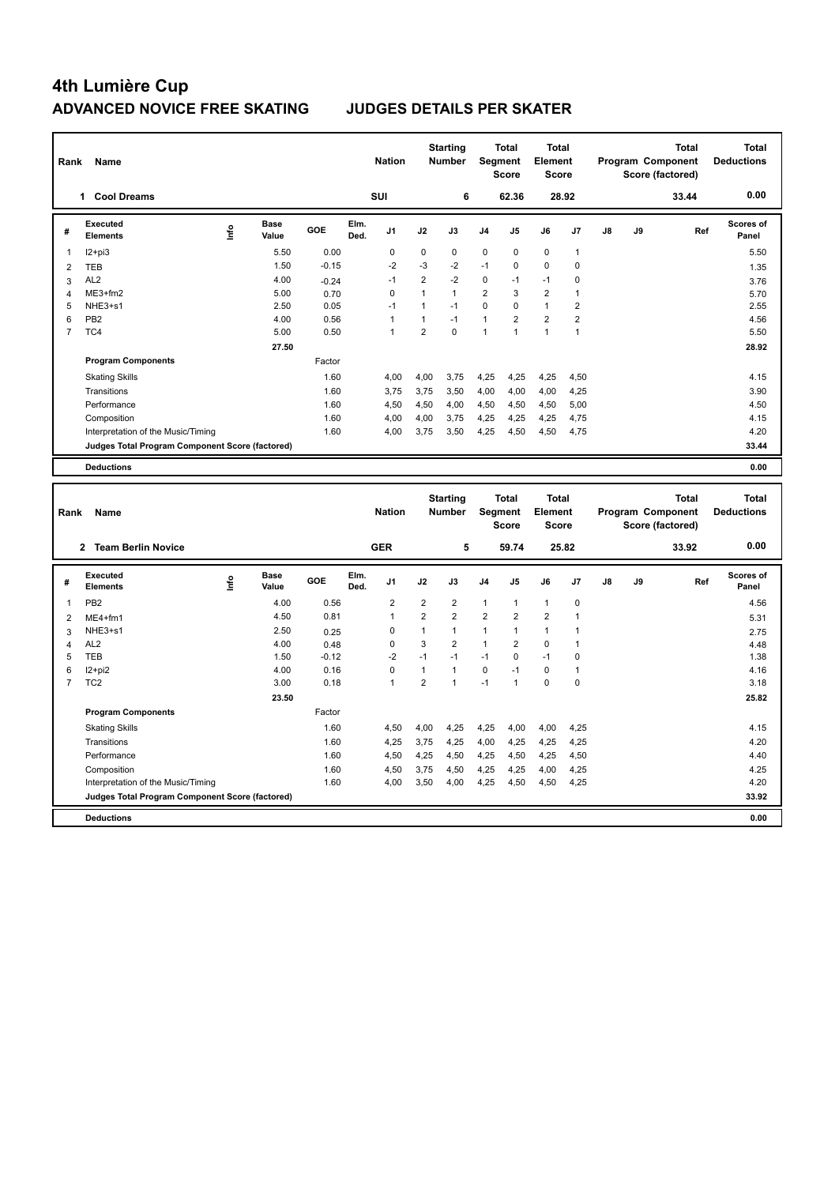| Rank<br>Name   |                                                 |       |                      |         |              | <b>Starting</b><br><b>Nation</b><br><b>Number</b> |                |              | <b>Total</b><br>Segment<br><b>Score</b> |                | <b>Total</b><br>Element<br><b>Score</b> |                | Program Component |    | <b>Total</b><br>Score (factored) | <b>Total</b><br><b>Deductions</b> |
|----------------|-------------------------------------------------|-------|----------------------|---------|--------------|---------------------------------------------------|----------------|--------------|-----------------------------------------|----------------|-----------------------------------------|----------------|-------------------|----|----------------------------------|-----------------------------------|
|                | <b>Cool Dreams</b><br>1.                        |       |                      |         |              | <b>SUI</b>                                        |                | 6            |                                         | 62.36          |                                         | 28.92          |                   |    | 33.44                            | 0.00                              |
| #              | Executed<br><b>Elements</b>                     | Linfo | <b>Base</b><br>Value | GOE     | Elm.<br>Ded. | J <sub>1</sub>                                    | J2             | J3           | J <sub>4</sub>                          | J <sub>5</sub> | J6                                      | J7             | $\mathsf{J}8$     | J9 | Ref                              | Scores of<br>Panel                |
|                | $12+pi3$                                        |       | 5.50                 | 0.00    |              | 0                                                 | 0              | $\mathbf 0$  | $\pmb{0}$                               | $\pmb{0}$      | $\mathbf 0$                             | $\mathbf{1}$   |                   |    |                                  | 5.50                              |
| $\overline{2}$ | <b>TEB</b>                                      |       | 1.50                 | $-0.15$ |              | $-2$                                              | $-3$           | $-2$         | $-1$                                    | 0              | $\mathbf 0$                             | $\mathbf 0$    |                   |    |                                  | 1.35                              |
| 3              | AL <sub>2</sub>                                 |       | 4.00                 | $-0.24$ |              | $-1$                                              | $\overline{2}$ | $-2$         | $\mathbf 0$                             | $-1$           | $-1$                                    | 0              |                   |    |                                  | 3.76                              |
| 4              | ME3+fm2                                         |       | 5.00                 | 0.70    |              | $\Omega$                                          | $\overline{1}$ | $\mathbf{1}$ | $\overline{2}$                          | 3              | $\overline{2}$                          | 1              |                   |    |                                  | 5.70                              |
| 5              | NHE3+s1                                         |       | 2.50                 | 0.05    |              | $-1$                                              | 1              | $-1$         | $\mathbf 0$                             | $\Omega$       | $\mathbf{1}$                            | $\overline{2}$ |                   |    |                                  | 2.55                              |
| 6              | PB <sub>2</sub>                                 |       | 4.00                 | 0.56    |              | 1                                                 | 1              | $-1$         | $\mathbf{1}$                            | $\overline{2}$ | $\overline{2}$                          | $\overline{2}$ |                   |    |                                  | 4.56                              |
| $\overline{7}$ | TC4                                             |       | 5.00                 | 0.50    |              | 1                                                 | $\overline{2}$ | $\mathbf 0$  | $\overline{1}$                          | 1              | $\mathbf{1}$                            | $\mathbf{1}$   |                   |    |                                  | 5.50                              |
|                |                                                 |       | 27.50                |         |              |                                                   |                |              |                                         |                |                                         |                |                   |    |                                  | 28.92                             |
|                | <b>Program Components</b>                       |       |                      | Factor  |              |                                                   |                |              |                                         |                |                                         |                |                   |    |                                  |                                   |
|                | <b>Skating Skills</b>                           |       |                      | 1.60    |              | 4.00                                              | 4,00           | 3.75         | 4,25                                    | 4,25           | 4,25                                    | 4,50           |                   |    |                                  | 4.15                              |
|                | Transitions                                     |       |                      | 1.60    |              | 3,75                                              | 3.75           | 3,50         | 4,00                                    | 4,00           | 4,00                                    | 4,25           |                   |    |                                  | 3.90                              |
|                | Performance                                     |       |                      | 1.60    |              | 4,50                                              | 4,50           | 4,00         | 4,50                                    | 4,50           | 4,50                                    | 5,00           |                   |    |                                  | 4.50                              |
|                | Composition                                     |       |                      | 1.60    |              | 4,00                                              | 4,00           | 3.75         | 4,25                                    | 4,25           | 4,25                                    | 4,75           |                   |    |                                  | 4.15                              |
|                | Interpretation of the Music/Timing              |       |                      | 1.60    |              | 4.00                                              | 3.75           | 3.50         | 4,25                                    | 4,50           | 4,50                                    | 4,75           |                   |    |                                  | 4.20                              |
|                | Judges Total Program Component Score (factored) |       |                      |         |              |                                                   |                |              |                                         |                |                                         |                |                   |    |                                  | 33.44                             |
|                | <b>Deductions</b>                               |       |                      |         |              |                                                   |                |              |                                         |                |                                         |                |                   |    |                                  | 0.00                              |
|                |                                                 |       |                      |         |              |                                                   |                |              |                                         |                |                                         |                |                   |    |                                  |                                   |

| Rank                    | Name                                            |    |                      |         |              | <b>Nation</b>  |                | <b>Starting</b><br><b>Number</b> | Segment        | <b>Total</b><br><b>Score</b> | Total<br>Element<br><b>Score</b> |       |    |    | <b>Total</b><br>Program Component<br>Score (factored) | <b>Total</b><br><b>Deductions</b> |
|-------------------------|-------------------------------------------------|----|----------------------|---------|--------------|----------------|----------------|----------------------------------|----------------|------------------------------|----------------------------------|-------|----|----|-------------------------------------------------------|-----------------------------------|
|                         | 2 Team Berlin Novice                            |    |                      |         |              | <b>GER</b>     |                | 5                                |                | 59.74                        |                                  | 25.82 |    |    | 33.92                                                 | 0.00                              |
| #                       | Executed<br><b>Elements</b>                     | ۴ů | <b>Base</b><br>Value | GOE     | Elm.<br>Ded. | J <sub>1</sub> | J2             | J3                               | J <sub>4</sub> | J <sub>5</sub>               | J6                               | J7    | J8 | J9 | Ref                                                   | <b>Scores of</b><br>Panel         |
| $\overline{\mathbf{1}}$ | PB <sub>2</sub>                                 |    | 4.00                 | 0.56    |              | $\overline{2}$ | $\overline{2}$ | $\overline{2}$                   | 1              | $\mathbf{1}$                 | $\mathbf{1}$                     | 0     |    |    |                                                       | 4.56                              |
| $\overline{2}$          | $ME4+fm1$                                       |    | 4.50                 | 0.81    |              | $\overline{1}$ | $\overline{2}$ | $\overline{2}$                   | $\overline{2}$ | $\overline{2}$               | $\overline{2}$                   | 1     |    |    |                                                       | 5.31                              |
| 3                       | NHE3+s1                                         |    | 2.50                 | 0.25    |              | $\Omega$       | 1              | $\mathbf{1}$                     | 1              | 1                            | $\mathbf{1}$                     | 1     |    |    |                                                       | 2.75                              |
| 4                       | AL <sub>2</sub>                                 |    | 4.00                 | 0.48    |              | $\Omega$       | 3              | $\overline{2}$                   | 1              | $\overline{2}$               | $\Omega$                         | 1     |    |    |                                                       | 4.48                              |
| 5                       | <b>TEB</b>                                      |    | 1.50                 | $-0.12$ |              | $-2$           | $-1$           | $-1$                             | $-1$           | $\Omega$                     | $-1$                             | 0     |    |    |                                                       | 1.38                              |
| 6                       | $12 + pi2$                                      |    | 4.00                 | 0.16    |              | 0              | 1              | $\mathbf{1}$                     | $\mathbf 0$    | $-1$                         | $\mathbf 0$                      | 1     |    |    |                                                       | 4.16                              |
| $\overline{7}$          | TC <sub>2</sub>                                 |    | 3.00                 | 0.18    |              | $\overline{1}$ | $\overline{2}$ |                                  | $-1$           | 1                            | $\mathbf 0$                      | 0     |    |    |                                                       | 3.18                              |
|                         |                                                 |    | 23.50                |         |              |                |                |                                  |                |                              |                                  |       |    |    |                                                       | 25.82                             |
|                         | <b>Program Components</b>                       |    |                      | Factor  |              |                |                |                                  |                |                              |                                  |       |    |    |                                                       |                                   |
|                         | <b>Skating Skills</b>                           |    |                      | 1.60    |              | 4,50           | 4,00           | 4,25                             | 4,25           | 4,00                         | 4,00                             | 4,25  |    |    |                                                       | 4.15                              |
|                         | Transitions                                     |    |                      | 1.60    |              | 4,25           | 3,75           | 4,25                             | 4,00           | 4,25                         | 4,25                             | 4,25  |    |    |                                                       | 4.20                              |
|                         | Performance                                     |    |                      | 1.60    |              | 4,50           | 4,25           | 4,50                             | 4,25           | 4,50                         | 4,25                             | 4,50  |    |    |                                                       | 4.40                              |
|                         | Composition                                     |    |                      | 1.60    |              | 4,50           | 3,75           | 4,50                             | 4,25           | 4,25                         | 4,00                             | 4,25  |    |    |                                                       | 4.25                              |
|                         | Interpretation of the Music/Timing              |    |                      | 1.60    |              | 4,00           | 3,50           | 4,00                             | 4,25           | 4,50                         | 4,50                             | 4,25  |    |    |                                                       | 4.20                              |
|                         | Judges Total Program Component Score (factored) |    |                      |         |              |                |                |                                  |                |                              |                                  |       |    |    |                                                       | 33.92                             |
|                         | <b>Deductions</b>                               |    |                      |         |              |                |                |                                  |                |                              |                                  |       |    |    |                                                       | 0.00                              |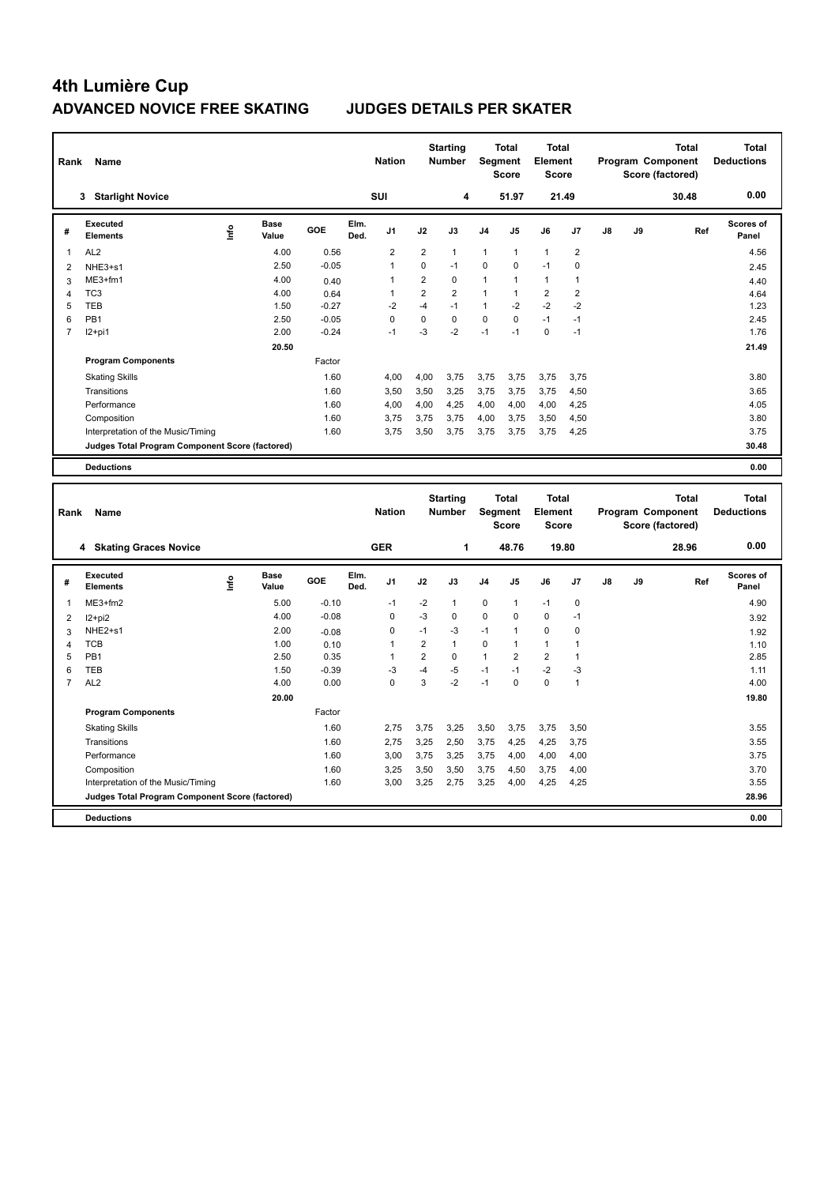| Rank<br>Name   |                                                 |      |                      |         |              | <b>Starting</b><br><b>Nation</b><br><b>Number</b> |                |                | Segment        | <b>Total</b><br><b>Score</b> | <b>Total</b><br>Element<br><b>Score</b> |                | <b>Total</b><br>Program Component<br>Score (factored) |    |       | Total<br><b>Deductions</b> |
|----------------|-------------------------------------------------|------|----------------------|---------|--------------|---------------------------------------------------|----------------|----------------|----------------|------------------------------|-----------------------------------------|----------------|-------------------------------------------------------|----|-------|----------------------------|
|                | <b>Starlight Novice</b><br>3                    |      |                      |         |              | <b>SUI</b>                                        |                | 4              |                | 51.97                        | 21.49                                   |                |                                                       |    | 30.48 | 0.00                       |
| #              | Executed<br><b>Elements</b>                     | lnfo | <b>Base</b><br>Value | GOE     | Elm.<br>Ded. | J <sub>1</sub>                                    | J2             | J3             | J <sub>4</sub> | J <sub>5</sub>               | J6                                      | J7             | J8                                                    | J9 | Ref   | Scores of<br>Panel         |
| 1              | AL <sub>2</sub>                                 |      | 4.00                 | 0.56    |              | $\overline{2}$                                    | $\overline{2}$ | $\mathbf{1}$   | $\mathbf{1}$   | $\mathbf{1}$                 | $\mathbf{1}$                            | $\overline{2}$ |                                                       |    |       | 4.56                       |
| $\overline{2}$ | NHE3+s1                                         |      | 2.50                 | $-0.05$ |              | $\overline{1}$                                    | $\Omega$       | $-1$           | 0              | $\mathbf 0$                  | $-1$                                    | 0              |                                                       |    |       | 2.45                       |
| 3              | ME3+fm1                                         |      | 4.00                 | 0.40    |              | 1                                                 | $\overline{2}$ | 0              | $\mathbf{1}$   | $\mathbf{1}$                 | $\mathbf{1}$                            | 1              |                                                       |    |       | 4.40                       |
| 4              | TC <sub>3</sub>                                 |      | 4.00                 | 0.64    |              | $\overline{1}$                                    | $\overline{2}$ | $\overline{2}$ | $\mathbf{1}$   |                              | $\overline{2}$                          | $\overline{2}$ |                                                       |    |       | 4.64                       |
| 5              | <b>TEB</b>                                      |      | 1.50                 | $-0.27$ |              | $-2$                                              | $-4$           | $-1$           | $\mathbf{1}$   | $-2$                         | $-2$                                    | $-2$           |                                                       |    |       | 1.23                       |
| 6              | PB <sub>1</sub>                                 |      | 2.50                 | $-0.05$ |              | $\Omega$                                          | 0              | 0              | 0              | $\Omega$                     | $-1$                                    | $-1$           |                                                       |    |       | 2.45                       |
| 7              | $12+pi1$                                        |      | 2.00                 | $-0.24$ |              | $-1$                                              | $-3$           | $-2$           | $-1$           | $-1$                         | $\mathbf 0$                             | $-1$           |                                                       |    |       | 1.76                       |
|                |                                                 |      | 20.50                |         |              |                                                   |                |                |                |                              |                                         |                |                                                       |    |       | 21.49                      |
|                | <b>Program Components</b>                       |      |                      | Factor  |              |                                                   |                |                |                |                              |                                         |                |                                                       |    |       |                            |
|                | <b>Skating Skills</b>                           |      |                      | 1.60    |              | 4,00                                              | 4,00           | 3,75           | 3,75           | 3,75                         | 3,75                                    | 3,75           |                                                       |    |       | 3.80                       |
|                | Transitions                                     |      |                      | 1.60    |              | 3,50                                              | 3,50           | 3,25           | 3,75           | 3,75                         | 3,75                                    | 4,50           |                                                       |    |       | 3.65                       |
|                | Performance                                     |      |                      | 1.60    |              | 4,00                                              | 4,00           | 4,25           | 4,00           | 4,00                         | 4,00                                    | 4,25           |                                                       |    |       | 4.05                       |
|                | Composition                                     |      |                      | 1.60    |              | 3.75                                              | 3,75           | 3,75           | 4,00           | 3,75                         | 3,50                                    | 4,50           |                                                       |    |       | 3.80                       |
|                | Interpretation of the Music/Timing              |      |                      | 1.60    |              | 3.75                                              | 3,50           | 3,75           | 3,75           | 3,75                         | 3,75                                    | 4,25           |                                                       |    |       | 3.75                       |
|                | Judges Total Program Component Score (factored) |      |                      |         |              |                                                   |                |                |                |                              |                                         |                |                                                       |    |       | 30.48                      |
|                | <b>Deductions</b>                               |      |                      |         |              |                                                   |                |                |                |                              |                                         |                |                                                       |    |       | 0.00                       |
|                |                                                 |      |                      |         |              |                                                   |                |                |                |                              |                                         |                |                                                       |    |       |                            |

| Rank           | Name                                            |      |                      |         |              | <b>Nation</b>  |                | <b>Starting</b><br><b>Number</b> | Segment        | <b>Total</b><br><b>Score</b> | <b>Total</b><br>Element<br>Score |             |    |    | <b>Total</b><br>Program Component<br>Score (factored) | <b>Total</b><br><b>Deductions</b> |
|----------------|-------------------------------------------------|------|----------------------|---------|--------------|----------------|----------------|----------------------------------|----------------|------------------------------|----------------------------------|-------------|----|----|-------------------------------------------------------|-----------------------------------|
|                | 4 Skating Graces Novice                         |      |                      |         |              | <b>GER</b>     |                | 1                                |                | 48.76                        |                                  | 19.80       |    |    | 28.96                                                 | 0.00                              |
| #              | Executed<br><b>Elements</b>                     | lnfo | <b>Base</b><br>Value | GOE     | Elm.<br>Ded. | J <sub>1</sub> | J2             | J3                               | J <sub>4</sub> | J5                           | J6                               | J7          | J8 | J9 | Ref                                                   | Scores of<br>Panel                |
|                | ME3+fm2                                         |      | 5.00                 | $-0.10$ |              | $-1$           | $-2$           | $\mathbf{1}$                     | $\mathbf 0$    | $\overline{1}$               | $-1$                             | $\mathbf 0$ |    |    |                                                       | 4.90                              |
| 2              | $12+pi2$                                        |      | 4.00                 | $-0.08$ |              | 0              | $-3$           | $\Omega$                         | 0              | $\Omega$                     | 0                                | $-1$        |    |    |                                                       | 3.92                              |
| 3              | NHE <sub>2+s1</sub>                             |      | 2.00                 | $-0.08$ |              | 0              | $-1$           | -3                               | $-1$           |                              | 0                                | 0           |    |    |                                                       | 1.92                              |
| $\overline{4}$ | <b>TCB</b>                                      |      | 1.00                 | 0.10    |              | 1              | $\overline{2}$ | $\mathbf{1}$                     | 0              |                              | $\mathbf{1}$                     |             |    |    |                                                       | 1.10                              |
| 5              | PB <sub>1</sub>                                 |      | 2.50                 | 0.35    |              |                | 2              | 0                                | $\mathbf{1}$   | 2                            | $\overline{2}$                   |             |    |    |                                                       | 2.85                              |
| 6              | <b>TEB</b>                                      |      | 1.50                 | $-0.39$ |              | -3             | $-4$           | $-5$                             | $-1$           | $-1$                         | $-2$                             | $-3$        |    |    |                                                       | 1.11                              |
| $\overline{7}$ | AL <sub>2</sub>                                 |      | 4.00                 | 0.00    |              | 0              | 3              | $-2$                             | $-1$           | 0                            | $\mathbf 0$                      | 1           |    |    |                                                       | 4.00                              |
|                |                                                 |      | 20.00                |         |              |                |                |                                  |                |                              |                                  |             |    |    |                                                       | 19.80                             |
|                | <b>Program Components</b>                       |      |                      | Factor  |              |                |                |                                  |                |                              |                                  |             |    |    |                                                       |                                   |
|                | <b>Skating Skills</b>                           |      |                      | 1.60    |              | 2,75           | 3,75           | 3,25                             | 3,50           | 3,75                         | 3,75                             | 3,50        |    |    |                                                       | 3.55                              |
|                | Transitions                                     |      |                      | 1.60    |              | 2,75           | 3,25           | 2,50                             | 3,75           | 4,25                         | 4,25                             | 3,75        |    |    |                                                       | 3.55                              |
|                | Performance                                     |      |                      | 1.60    |              | 3,00           | 3,75           | 3,25                             | 3,75           | 4,00                         | 4,00                             | 4,00        |    |    |                                                       | 3.75                              |
|                | Composition                                     |      |                      | 1.60    |              | 3,25           | 3,50           | 3,50                             | 3,75           | 4,50                         | 3,75                             | 4,00        |    |    |                                                       | 3.70                              |
|                | Interpretation of the Music/Timing              |      |                      | 1.60    |              | 3,00           | 3,25           | 2,75                             | 3,25           | 4,00                         | 4,25                             | 4,25        |    |    |                                                       | 3.55                              |
|                | Judges Total Program Component Score (factored) |      |                      |         |              |                |                |                                  |                |                              |                                  |             |    |    |                                                       | 28.96                             |
|                | <b>Deductions</b>                               |      |                      |         |              |                |                |                                  |                |                              |                                  |             |    |    |                                                       | 0.00                              |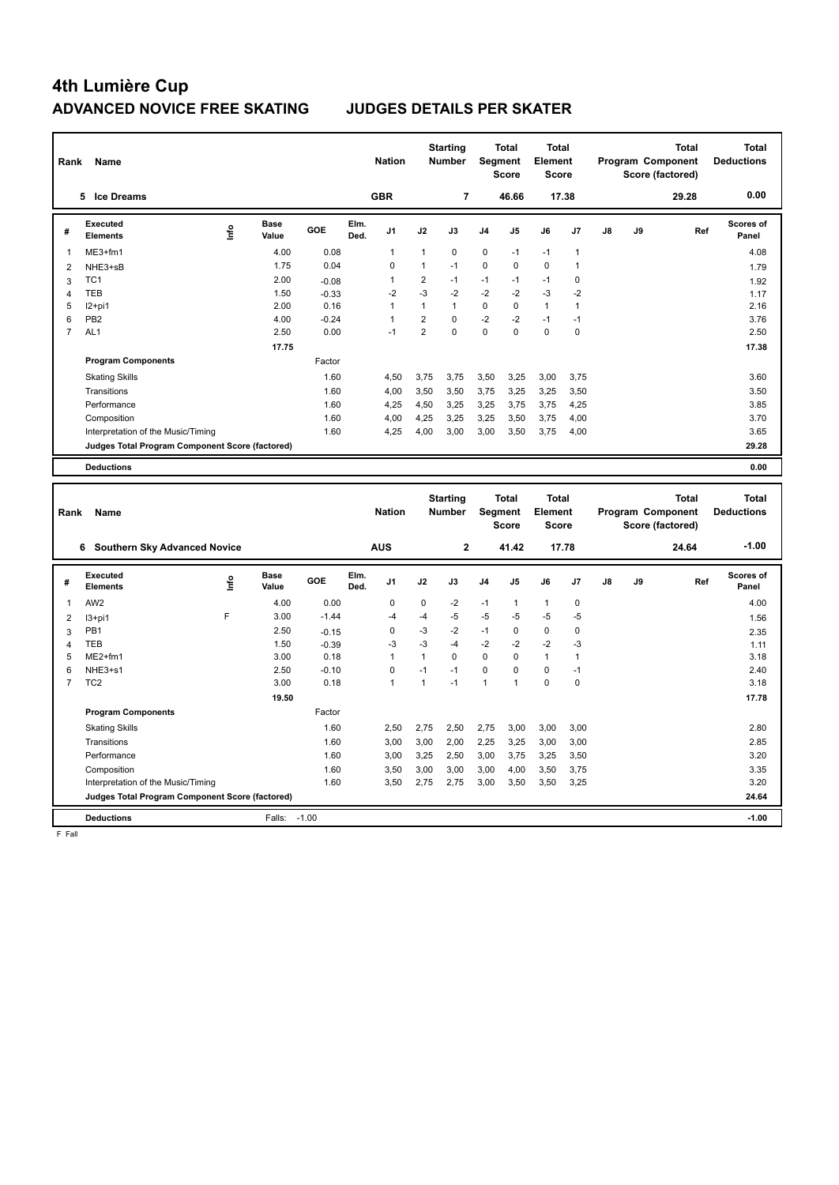| Rank                    | Name                                            |                              |         | <b>Nation</b>      |                | <b>Starting</b><br><b>Number</b> |                | <b>Total</b><br>Segment<br><b>Score</b> | <b>Total</b><br>Element<br><b>Score</b> |                |    |    | <b>Total</b><br>Program Component<br>Score (factored)        | <b>Total</b><br><b>Deductions</b> |
|-------------------------|-------------------------------------------------|------------------------------|---------|--------------------|----------------|----------------------------------|----------------|-----------------------------------------|-----------------------------------------|----------------|----|----|--------------------------------------------------------------|-----------------------------------|
|                         | <b>Ice Dreams</b><br>5                          |                              |         | <b>GBR</b>         |                | 7                                |                | 46.66                                   |                                         | 17.38          |    |    | 29.28                                                        | 0.00                              |
| #                       | Executed<br><b>Elements</b>                     | <b>Base</b><br>١nf٥<br>Value | GOE     | Elm.<br>J1<br>Ded. | J2             | J3                               | J <sub>4</sub> | J5                                      | J6                                      | J <sub>7</sub> | J8 | J9 | Ref                                                          | <b>Scores of</b><br>Panel         |
|                         | $ME3+fm1$                                       | 4.00                         | 0.08    | 1                  | 1              | 0                                | 0              | $-1$                                    | $-1$                                    | $\overline{1}$ |    |    |                                                              | 4.08                              |
| $\overline{2}$          | NHE3+sB                                         | 1.75                         | 0.04    | $\Omega$           | 1              | $-1$                             | 0              | $\Omega$                                | $\Omega$                                | 1              |    |    |                                                              | 1.79                              |
| 3                       | TC <sub>1</sub>                                 | 2.00                         | $-0.08$ | 1                  | 2              | $-1$                             | $-1$           | $-1$                                    | $-1$                                    | 0              |    |    |                                                              | 1.92                              |
| $\overline{\mathbf{A}}$ | <b>TEB</b>                                      | 1.50                         | $-0.33$ | $-2$               | $-3$           | $-2$                             | $-2$           | $-2$                                    | $-3$                                    | $-2$           |    |    |                                                              | 1.17                              |
| 5                       | $12+pi1$                                        | 2.00                         | 0.16    | 1                  | 1              | $\mathbf{1}$                     | 0              | $\Omega$                                | $\mathbf{1}$                            | $\overline{1}$ |    |    |                                                              | 2.16                              |
| 6                       | PB <sub>2</sub>                                 | 4.00                         | $-0.24$ | 1                  | $\overline{2}$ | $\Omega$                         | $-2$           | $-2$                                    | $-1$                                    | $-1$           |    |    |                                                              | 3.76                              |
| $\overline{7}$          | AL <sub>1</sub>                                 | 2.50                         | 0.00    | $-1$               | $\overline{2}$ | $\Omega$                         | 0              | $\Omega$                                | $\Omega$                                | $\mathbf 0$    |    |    |                                                              | 2.50                              |
|                         |                                                 | 17.75                        |         |                    |                |                                  |                |                                         |                                         |                |    |    |                                                              | 17.38                             |
|                         | <b>Program Components</b>                       |                              | Factor  |                    |                |                                  |                |                                         |                                         |                |    |    |                                                              |                                   |
|                         | <b>Skating Skills</b>                           |                              | 1.60    | 4,50               | 3,75           | 3,75                             | 3,50           | 3,25                                    | 3,00                                    | 3,75           |    |    |                                                              | 3.60                              |
|                         | Transitions                                     |                              | 1.60    | 4,00               | 3,50           | 3.50                             | 3,75           | 3,25                                    | 3,25                                    | 3,50           |    |    |                                                              | 3.50                              |
|                         | Performance                                     |                              | 1.60    | 4,25               | 4,50           | 3,25                             | 3,25           | 3,75                                    | 3,75                                    | 4,25           |    |    |                                                              | 3.85                              |
|                         | Composition                                     |                              | 1.60    | 4,00               | 4,25           | 3,25                             | 3,25           | 3,50                                    | 3,75                                    | 4,00           |    |    |                                                              | 3.70                              |
|                         | Interpretation of the Music/Timing              |                              | 1.60    | 4,25               | 4,00           | 3,00                             | 3,00           | 3,50                                    | 3,75                                    | 4,00           |    |    |                                                              | 3.65                              |
|                         | Judges Total Program Component Score (factored) |                              |         |                    |                |                                  |                |                                         |                                         |                |    |    |                                                              | 29.28                             |
|                         | <b>Deductions</b>                               |                              |         |                    |                |                                  |                |                                         |                                         |                |    |    |                                                              | 0.00                              |
|                         |                                                 |                              |         |                    |                |                                  |                |                                         |                                         |                |    |    |                                                              |                                   |
| Rank                    | Name                                            |                              |         | <b>Nation</b>      |                | <b>Starting</b><br><b>Number</b> |                | <b>Total</b><br>Segment<br><b>Score</b> | <b>Total</b><br>Element<br><b>Score</b> |                |    |    | <b>Total</b><br><b>Program Component</b><br>Score (factored) | <b>Total</b><br><b>Deductions</b> |
|                         | Southern Sky Advanced Novice<br>6.              |                              |         | <b>AUS</b>         |                | $\mathbf{2}$                     |                | 41.42                                   |                                         | 17.78          |    |    | 24.64                                                        | $-1.00$                           |

|                | O<br>Southern Sky Advanced Novice               |      |                      |            |              | ีคบจ           |      | $\epsilon$ |                | 41.44          |              | 17.78          |               |    | <b>24.04</b> | -1.00              |
|----------------|-------------------------------------------------|------|----------------------|------------|--------------|----------------|------|------------|----------------|----------------|--------------|----------------|---------------|----|--------------|--------------------|
| #              | Executed<br><b>Elements</b>                     | lnfo | <b>Base</b><br>Value | <b>GOE</b> | Elm.<br>Ded. | J <sub>1</sub> | J2   | J3         | J <sub>4</sub> | J <sub>5</sub> | J6           | J <sub>7</sub> | $\mathsf{J}8$ | J9 | Ref          | Scores of<br>Panel |
|                | AW <sub>2</sub>                                 |      | 4.00                 | 0.00       |              | $\Omega$       | 0    | $-2$       | $-1$           | 1              | 1            | 0              |               |    |              | 4.00               |
| 2              | $13+pi1$                                        | F    | 3.00                 | $-1.44$    |              | $-4$           | $-4$ | $-5$       | $-5$           | $-5$           | $-5$         | $-5$           |               |    |              | 1.56               |
| 3              | PB <sub>1</sub>                                 |      | 2.50                 | $-0.15$    |              | 0              | -3   | $-2$       | $-1$           | 0              | 0            | 0              |               |    |              | 2.35               |
| $\overline{4}$ | <b>TEB</b>                                      |      | 1.50                 | $-0.39$    |              | $-3$           | $-3$ | -4         | $-2$           | $-2$           | $-2$         | $-3$           |               |    |              | 1.11               |
| 5              | ME2+fm1                                         |      | 3.00                 | 0.18       |              |                |      | 0          | 0              | 0              | $\mathbf{1}$ | 1              |               |    |              | 3.18               |
| 6              | NHE3+s1                                         |      | 2.50                 | $-0.10$    |              | 0              | $-1$ | $-1$       | 0              | 0              | 0            | $-1$           |               |    |              | 2.40               |
| 7              | TC <sub>2</sub>                                 |      | 3.00                 | 0.18       |              | 1              |      | $-1$       | ٠              |                | $\mathbf 0$  | 0              |               |    |              | 3.18               |
|                |                                                 |      | 19.50                |            |              |                |      |            |                |                |              |                |               |    |              | 17.78              |
|                | <b>Program Components</b>                       |      |                      | Factor     |              |                |      |            |                |                |              |                |               |    |              |                    |
|                | <b>Skating Skills</b>                           |      |                      | 1.60       |              | 2,50           | 2,75 | 2,50       | 2,75           | 3,00           | 3,00         | 3,00           |               |    |              | 2.80               |
|                | Transitions                                     |      |                      | 1.60       |              | 3,00           | 3,00 | 2,00       | 2,25           | 3,25           | 3,00         | 3,00           |               |    |              | 2.85               |
|                | Performance                                     |      |                      | 1.60       |              | 3,00           | 3,25 | 2,50       | 3,00           | 3,75           | 3,25         | 3,50           |               |    |              | 3.20               |
|                | Composition                                     |      |                      | 1.60       |              | 3,50           | 3,00 | 3,00       | 3,00           | 4,00           | 3,50         | 3,75           |               |    |              | 3.35               |
|                | Interpretation of the Music/Timing              |      |                      | 1.60       |              | 3,50           | 2,75 | 2,75       | 3,00           | 3,50           | 3,50         | 3,25           |               |    |              | 3.20               |
|                | Judges Total Program Component Score (factored) |      |                      |            |              |                |      |            |                |                |              |                |               |    |              | 24.64              |
|                | <b>Deductions</b>                               |      | Falls:               | $-1.00$    |              |                |      |            |                |                |              |                |               |    |              | $-1.00$            |

F Fall